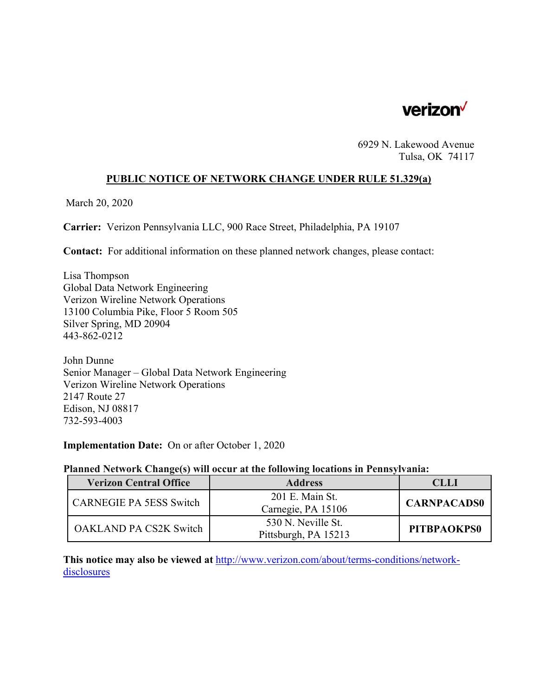

6929 N. Lakewood Avenue Tulsa, OK 74117

## **PUBLIC NOTICE OF NETWORK CHANGE UNDER RULE 51.329(a)**

March 20, 2020

**Carrier:** Verizon Pennsylvania LLC, 900 Race Street, Philadelphia, PA 19107

**Contact:** For additional information on these planned network changes, please contact:

Lisa Thompson Global Data Network Engineering Verizon Wireline Network Operations 13100 Columbia Pike, Floor 5 Room 505 Silver Spring, MD 20904 443-862-0212

John Dunne Senior Manager – Global Data Network Engineering Verizon Wireline Network Operations 2147 Route 27 Edison, NJ 08817 732-593-4003

**Implementation Date:** On or after October 1, 2020

#### **Planned Network Change(s) will occur at the following locations in Pennsylvania:**

| <b>Verizon Central Office</b>  | <b>Address</b>                             | CLLI               |
|--------------------------------|--------------------------------------------|--------------------|
| <b>CARNEGIE PA 5ESS Switch</b> | 201 E. Main St.<br>Carnegie, PA 15106      | <b>CARNPACADS0</b> |
| <b>OAKLAND PA CS2K Switch</b>  | 530 N. Neville St.<br>Pittsburgh, PA 15213 | PITBPAOKPS0        |

**This notice may also be viewed at** http://www.verizon.com/about/terms-conditions/networkdisclosures